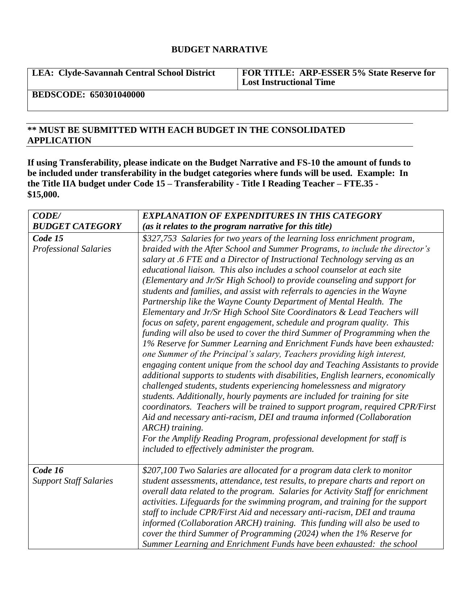## **BUDGET NARRATIVE**

**LEA: Clyde-Savannah Central School District FOR TITLE: ARP-ESSER 5% State Reserve for Lost Instructional Time**

**BEDSCODE: 650301040000**

## **\*\* MUST BE SUBMITTED WITH EACH BUDGET IN THE CONSOLIDATED APPLICATION**

**If using Transferability, please indicate on the Budget Narrative and FS-10 the amount of funds to be included under transferability in the budget categories where funds will be used. Example: In the Title IIA budget under Code 15 – Transferability - Title I Reading Teacher – FTE.35 - \$15,000.**

| CODE/                                    | <b>EXPLANATION OF EXPENDITURES IN THIS CATEGORY</b>                                                                                                                                                                                                                                                                                                                                                                                                                                                                                                                                                                                                                                                                                                                                                                                                                                                                                                                                                                                                                                                                                                                                                                                                                                                                                                                                                                                                                                                                                                                                 |
|------------------------------------------|-------------------------------------------------------------------------------------------------------------------------------------------------------------------------------------------------------------------------------------------------------------------------------------------------------------------------------------------------------------------------------------------------------------------------------------------------------------------------------------------------------------------------------------------------------------------------------------------------------------------------------------------------------------------------------------------------------------------------------------------------------------------------------------------------------------------------------------------------------------------------------------------------------------------------------------------------------------------------------------------------------------------------------------------------------------------------------------------------------------------------------------------------------------------------------------------------------------------------------------------------------------------------------------------------------------------------------------------------------------------------------------------------------------------------------------------------------------------------------------------------------------------------------------------------------------------------------------|
| <b>BUDGET CATEGORY</b>                   | (as it relates to the program narrative for this title)                                                                                                                                                                                                                                                                                                                                                                                                                                                                                                                                                                                                                                                                                                                                                                                                                                                                                                                                                                                                                                                                                                                                                                                                                                                                                                                                                                                                                                                                                                                             |
| Code 15<br><b>Professional Salaries</b>  | \$327,753 Salaries for two years of the learning loss enrichment program,<br>braided with the After School and Summer Programs, to include the director's<br>salary at .6 FTE and a Director of Instructional Technology serving as an<br>educational liaison. This also includes a school counselor at each site<br>(Elementary and Jr/Sr High School) to provide counseling and support for<br>students and families, and assist with referrals to agencies in the Wayne<br>Partnership like the Wayne County Department of Mental Health. The<br>Elementary and Jr/Sr High School Site Coordinators & Lead Teachers will<br>focus on safety, parent engagement, schedule and program quality. This<br>funding will also be used to cover the third Summer of Programming when the<br>1% Reserve for Summer Learning and Enrichment Funds have been exhausted:<br>one Summer of the Principal's salary, Teachers providing high interest,<br>engaging content unique from the school day and Teaching Assistants to provide<br>additional supports to students with disabilities, English learners, economically<br>challenged students, students experiencing homelessness and migratory<br>students. Additionally, hourly payments are included for training for site<br>coordinators. Teachers will be trained to support program, required CPR/First<br>Aid and necessary anti-racism, DEI and trauma informed (Collaboration<br>ARCH) training.<br>For the Amplify Reading Program, professional development for staff is<br>included to effectively administer the program. |
| Code 16<br><b>Support Staff Salaries</b> | \$207,100 Two Salaries are allocated for a program data clerk to monitor<br>student assessments, attendance, test results, to prepare charts and report on<br>overall data related to the program. Salaries for Activity Staff for enrichment<br>activities. Lifeguards for the swimming program, and training for the support<br>staff to include CPR/First Aid and necessary anti-racism, DEI and trauma<br>informed (Collaboration ARCH) training. This funding will also be used to<br>cover the third Summer of Programming (2024) when the 1% Reserve for<br>Summer Learning and Enrichment Funds have been exhausted: the school                                                                                                                                                                                                                                                                                                                                                                                                                                                                                                                                                                                                                                                                                                                                                                                                                                                                                                                                             |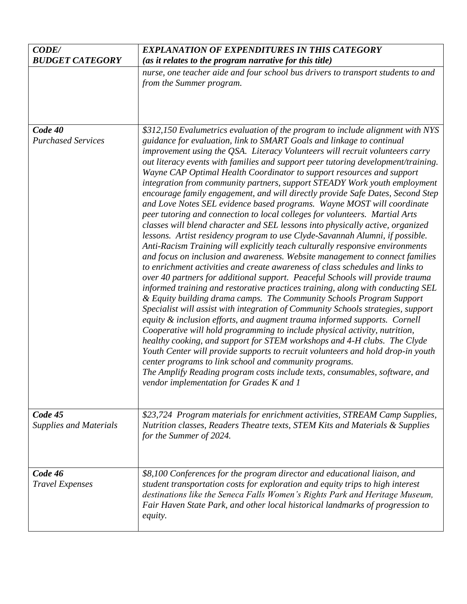| <b>CODE/</b><br><b>BUDGET CATEGORY</b>   | <b>EXPLANATION OF EXPENDITURES IN THIS CATEGORY</b><br>(as it relates to the program narrative for this title)                                                                                                                                                                                                                                                                                                                                                                                                                                                                                                                                                                                                                                                                                                                                                                                                                                                                                                                                                                                                                                                                                                                                                                                                                                                                                                                                                                                                                                                                                                                                                                                                                                                                                                                                                                                                                                                                                   |
|------------------------------------------|--------------------------------------------------------------------------------------------------------------------------------------------------------------------------------------------------------------------------------------------------------------------------------------------------------------------------------------------------------------------------------------------------------------------------------------------------------------------------------------------------------------------------------------------------------------------------------------------------------------------------------------------------------------------------------------------------------------------------------------------------------------------------------------------------------------------------------------------------------------------------------------------------------------------------------------------------------------------------------------------------------------------------------------------------------------------------------------------------------------------------------------------------------------------------------------------------------------------------------------------------------------------------------------------------------------------------------------------------------------------------------------------------------------------------------------------------------------------------------------------------------------------------------------------------------------------------------------------------------------------------------------------------------------------------------------------------------------------------------------------------------------------------------------------------------------------------------------------------------------------------------------------------------------------------------------------------------------------------------------------------|
|                                          | nurse, one teacher aide and four school bus drivers to transport students to and<br>from the Summer program.                                                                                                                                                                                                                                                                                                                                                                                                                                                                                                                                                                                                                                                                                                                                                                                                                                                                                                                                                                                                                                                                                                                                                                                                                                                                                                                                                                                                                                                                                                                                                                                                                                                                                                                                                                                                                                                                                     |
| Code 40<br><b>Purchased Services</b>     | \$312,150 Evalumetrics evaluation of the program to include alignment with NYS<br>guidance for evaluation, link to SMART Goals and linkage to continual<br>improvement using the QSA. Literacy Volunteers will recruit volunteers carry<br>out literacy events with families and support peer tutoring development/training.<br>Wayne CAP Optimal Health Coordinator to support resources and support<br>integration from community partners, support STEADY Work youth employment<br>encourage family engagement, and will directly provide Safe Dates, Second Step<br>and Love Notes SEL evidence based programs. Wayne MOST will coordinate<br>peer tutoring and connection to local colleges for volunteers. Martial Arts<br>classes will blend character and SEL lessons into physically active, organized<br>lessons. Artist residency program to use Clyde-Savannah Alumni, if possible.<br>Anti-Racism Training will explicitly teach culturally responsive environments<br>and focus on inclusion and awareness. Website management to connect families<br>to enrichment activities and create awareness of class schedules and links to<br>over 40 partners for additional support. Peaceful Schools will provide trauma<br>informed training and restorative practices training, along with conducting SEL<br>& Equity building drama camps. The Community Schools Program Support<br>Specialist will assist with integration of Community Schools strategies, support<br>equity & inclusion efforts, and augment trauma informed supports. Cornell<br>Cooperative will hold programming to include physical activity, nutrition,<br>healthy cooking, and support for STEM workshops and 4-H clubs. The Clyde<br>Youth Center will provide supports to recruit volunteers and hold drop-in youth<br>center programs to link school and community programs.<br>The Amplify Reading program costs include texts, consumables, software, and<br>vendor implementation for Grades K and 1 |
| Code 45<br><b>Supplies and Materials</b> | \$23,724 Program materials for enrichment activities, STREAM Camp Supplies,<br>Nutrition classes, Readers Theatre texts, STEM Kits and Materials & Supplies<br>for the Summer of 2024.                                                                                                                                                                                                                                                                                                                                                                                                                                                                                                                                                                                                                                                                                                                                                                                                                                                                                                                                                                                                                                                                                                                                                                                                                                                                                                                                                                                                                                                                                                                                                                                                                                                                                                                                                                                                           |
| Code 46<br><b>Travel Expenses</b>        | \$8,100 Conferences for the program director and educational liaison, and<br>student transportation costs for exploration and equity trips to high interest<br>destinations like the Seneca Falls Women's Rights Park and Heritage Museum,<br>Fair Haven State Park, and other local historical landmarks of progression to<br><i>equity.</i>                                                                                                                                                                                                                                                                                                                                                                                                                                                                                                                                                                                                                                                                                                                                                                                                                                                                                                                                                                                                                                                                                                                                                                                                                                                                                                                                                                                                                                                                                                                                                                                                                                                    |